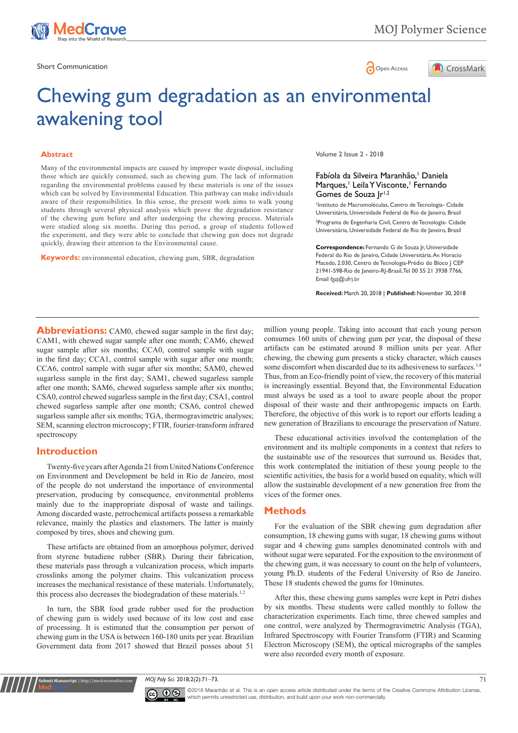

MOJ Polymer Science



# Chewing gum degradation as an environmental awakening tool

#### **Abstract**

Many of the environmental impacts are caused by improper waste disposal, including those which are quickly consumed, such as chewing gum. The lack of information regarding the environmental problems caused by these materials is one of the issues which can be solved by Environmental Education. This pathway can make individuals aware of their responsibilities. In this sense, the present work aims to walk young students through several physical analysis which prove the degradation resistance of the chewing gum before and after undergoing the chewing process. Materials were studied along six months. During this period, a group of students followed the experiment, and they were able to conclude that chewing gun does not degrade quickly, drawing their attention to the Environmental cause.

**Keywords:** environmental education, chewing gum, SBR, degradation

Volume 2 Issue 2 - 2018

### Fabíola da Silveira Maranhão,<sup>1</sup> Daniela Marques,<sup>1</sup> Leila Y Visconte,<sup>1</sup> Fernando Gomes de Souza | r<sup>1,2</sup>

1 Instituto de Macromoléculas, Centro de Tecnologia- Cidade Universitária, Universidade Federal de Rio de Janeiro, Brasil 2 Programa de Engenharia Civil, Centro de Tecnologia- Cidade Universitária, Universidade Federal de Rio de Janeiro, Brasil

**Correspondence:** Fernando G de Souza Jr, Universidade Federal do Rio de Janeiro, Cidade Universitária. Av. Horacio Macedo, 2.030, Centro de Tecnologia-Prédio do Bloco J CEP 21941-598-Rio de Janeiro-RJ-Brasil, Tel 00 55 21 3938 7766, Email fgzj@ufrj.br

**Received:** March 20, 2018 | **Published:** November 30, 2018

Abbreviations: CAM0, chewed sugar sample in the first day; CAM1, with chewed sugar sample after one month; CAM6, chewed sugar sample after six months; CCA0, control sample with sugar in the first day; CCA1, control sample with sugar after one month; CCA6, control sample with sugar after six months; SAM0, chewed sugarless sample in the first day; SAM1, chewed sugarless sample after one month; SAM6, chewed sugarless sample after six months; CSA0, control chewed sugarless sample in the first day; CSA1, control chewed sugarless sample after one month; CSA6, control chewed sugarless sample after six months; TGA, thermogravimetric analyses; SEM, scanning electron microscopy; FTIR, fourier-transform infrared spectroscopy

#### **Introduction**

**Submit Manuscript** | http://medcraveonline.com

Twenty-five years after Agenda 21 from United Nations Conference on Environment and Development be held in Rio de Janeiro, most of the people do not understand the importance of environmental preservation, producing by consequence, environmental problems mainly due to the inappropriate disposal of waste and tailings. Among discarded waste, petrochemical artifacts possess a remarkable relevance, mainly the plastics and elastomers. The latter is mainly composed by tires, shoes and chewing gum.

These artifacts are obtained from an amorphous polymer, derived from styrene butadiene rubber (SBR). During their fabrication, these materials pass through a vulcanization process, which imparts crosslinks among the polymer chains. This vulcanization process increases the mechanical resistance of these materials. Unfortunately, this process also decreases the biodegradation of these materials.<sup>1,2</sup>

In turn, the SBR food grade rubber used for the production of chewing gum is widely used because of its low cost and ease of processing. It is estimated that the consumption per person of chewing gum in the USA is between 160-180 units per year. Brazilian Government data from 2017 showed that Brazil posses about 51

million young people. Taking into account that each young person consumes 160 units of chewing gum per year, the disposal of these artifacts can be estimated around 8 million units per year. After chewing, the chewing gum presents a sticky character, which causes some discomfort when discarded due to its adhesiveness to surfaces.<sup>3,4</sup> Thus, from an Eco-friendly point of view, the recovery of this material is increasingly essential. Beyond that, the Environmental Education must always be used as a tool to aware people about the proper disposal of their waste and their anthropogenic impacts on Earth. Therefore, the objective of this work is to report our efforts leading a new generation of Brazilians to encourage the preservation of Nature.

These educational activities involved the contemplation of the environment and its multiple components in a context that refers to the sustainable use of the resources that surround us. Besides that, this work contemplated the initiation of these young people to the scientific activities, the basis for a world based on equality, which will allow the sustainable development of a new generation free from the vices of the former ones.

## **Methods**

For the evaluation of the SBR chewing gum degradation after consumption, 18 chewing gums with sugar, 18 chewing gums without sugar and 4 chewing guns samples denominated controls with and without sugar were separated. For the exposition to the environment of the chewing gum, it was necessary to count on the help of volunteers, young Ph.D. students of the Federal University of Rio de Janeiro. These 18 students chewed the gums for 10minutes.

After this, these chewing gums samples were kept in Petri dishes by six months. These students were called monthly to follow the characterization experiments. Each time, three chewed samples and one control, were analyzed by Thermogravimetric Analysis (TGA), Infrared Spectroscopy with Fourier Transform (FTIR) and Scanning Electron Microscopy (SEM), the optical micrographs of the samples were also recorded every month of exposure.

*MOJ Poly Sci.* 2018;2(2):71‒73. 71



©2018 Maranhão et al. This is an open access article distributed under the terms of the [Creative Commons Attribution License](https://creativecommons.org/licenses/by-nc/4.0/), which permits unrestricted use, distribution, and build upon your work non-commercially.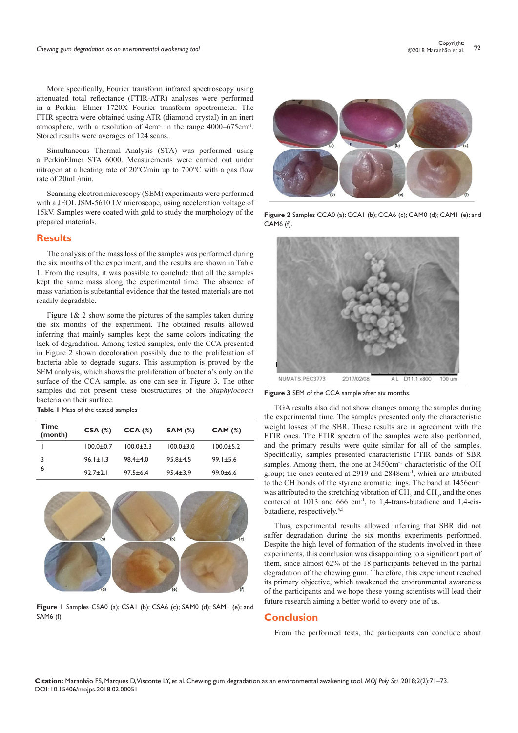More specifically, Fourier transform infrared spectroscopy using attenuated total reflectance (FTIR-ATR) analyses were performed in a Perkin- Elmer 1720X Fourier transform spectrometer. The FTIR spectra were obtained using ATR (diamond crystal) in an inert atmosphere, with a resolution of 4cm-1 in the range 4000–675cm-1. Stored results were averages of 124 scans.

Simultaneous Thermal Analysis (STA) was performed using a PerkinElmer STA 6000. Measurements were carried out under nitrogen at a heating rate of 20°C/min up to 700°C with a gas flow rate of 20mL/min.

Scanning electron microscopy (SEM) experiments were performed with a JEOL JSM-5610 LV microscope, using acceleration voltage of 15kV. Samples were coated with gold to study the morphology of the prepared materials.

#### **Results**

The analysis of the mass loss of the samples was performed during the six months of the experiment, and the results are shown in Table 1. From the results, it was possible to conclude that all the samples kept the same mass along the experimental time. The absence of mass variation is substantial evidence that the tested materials are not readily degradable.

Figure  $1\&$  2 show some the pictures of the samples taken during the six months of the experiment. The obtained results allowed inferring that mainly samples kept the same colors indicating the lack of degradation. Among tested samples, only the CCA presented in Figure 2 shown decoloration possibly due to the proliferation of bacteria able to degrade sugars. This assumption is proved by the SEM analysis, which shows the proliferation of bacteria's only on the surface of the CCA sample, as one can see in Figure 3. The other samples did not present these biostructures of the *Staphylococci* bacteria on their surface.

**Table 1** Mass of the tested samples

| Time<br>(month) | CSA(%)          | $CCA (\%)$      | <b>SAM (%)</b>  | CAM (%)         |
|-----------------|-----------------|-----------------|-----------------|-----------------|
|                 | $100.0 \pm 0.7$ | $100.0 \pm 2.3$ | $100.0 \pm 3.0$ | $100.0 \pm 5.2$ |
| 3<br>6          | $96.1 \pm 1.3$  | $98.4 \pm 4.0$  | $95.8 \pm 4.5$  | $99.1 \pm 5.6$  |
|                 | $92.7 \pm 2.1$  | $97.5 \pm 6.4$  | $95.4 \pm 3.9$  | $99.0 \pm 6.6$  |



**Figure 1** Samples CSA0 (a); CSA1 (b); CSA6 (c); SAM0 (d); SAM1 (e); and SAM6 (f).



**Figure 2** Samples CCA0 (a); CCA1 (b); CCA6 (c); CAM0 (d); CAM1 (e); and CAM6 (f).



**Figure 3** SEM of the CCA sample after six months.

TGA results also did not show changes among the samples during the experimental time. The samples presented only the characteristic weight losses of the SBR. These results are in agreement with the FTIR ones. The FTIR spectra of the samples were also performed, and the primary results were quite similar for all of the samples. Specifically, samples presented characteristic FTIR bands of SBR samples. Among them, the one at 3450cm<sup>-1</sup> characteristic of the OH group; the ones centered at 2919 and 2848cm-1, which are attributed to the CH bonds of the styrene aromatic rings. The band at 1456cm-1 was attributed to the stretching vibration of  $CH_2$  and  $CH_3$ , and the ones centered at 1013 and 666 cm<sup>-1</sup>, to 1,4-trans-butadiene and 1,4-cisbutadiene, respectively.4,5

Thus, experimental results allowed inferring that SBR did not suffer degradation during the six months experiments performed. Despite the high level of formation of the students involved in these experiments, this conclusion was disappointing to a significant part of them, since almost 62% of the 18 participants believed in the partial degradation of the chewing gum. Therefore, this experiment reached its primary objective, which awakened the environmental awareness of the participants and we hope these young scientists will lead their future research aiming a better world to every one of us.

#### **Conclusion**

From the performed tests, the participants can conclude about